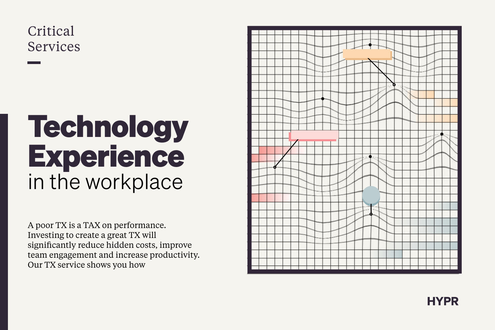A poor TX is a TAX on performance. Investing to create a great TX will significantly reduce hidden costs, improve team engagement and increase productivity. Our TX service shows you how





# **Technology Experience** in the workplace

# Critical Services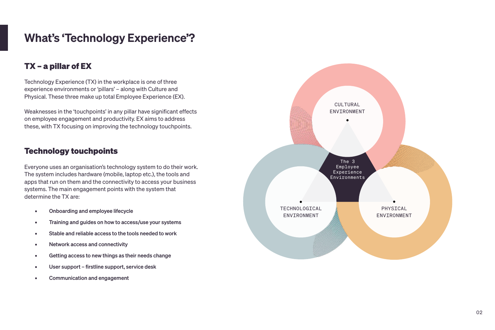# What's 'Technology Experience'?

### **TX – a pillar of EX**

Technology Experience (TX) in the workplace is one of three experience environments or 'pillars' – along with Culture and Physical. These three make up total Employee Experience (EX).

Weaknesses in the 'touchpoints' in any pillar have significant effects on employee engagement and productivity. EX aims to address these, with TX focusing on improving the technology touchpoints.

#### **Technology touchpoints**

Everyone uses an organisation's technology system to do their work. The system includes hardware (mobile, laptop etc.), the tools and apps that run on them and the connectivity to access your business systems. The main engagement points with the system that determine the TX are:

- Onboarding and employee lifecycle
- **EXECT:** Training and guides on how to access/use your systems
- Stable and reliable access to the tools needed to work
- Network access and connectivity
- Getting access to new things as their needs change
- User support firstline support, service desk
- Communication and engagement

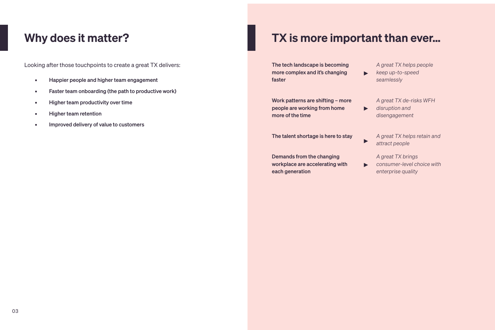Looking after those touchpoints to create a great TX delivers:

- **EXECUTE:** Happier people and higher team engagement
- **EXECT:** Faster team onboarding (the path to productive work)
- **EXECUTE:** Higher team productivity over time
- Higher team retention
- **EXECUTE:** Improved delivery of value to customers

## Why does it matter? TX is more important than ever...

 $\blacktriangleright$ 

 $\blacktriangleright$ 

 $\blacktriangleright$ 

 $\blacktriangleright$ 

The tech landscape is becoming more complex and it's changing faster

Work patterns are shifting – more people are working from home more of the time

The talent shortage is here to stay

Demands from the changing workplace are accelerating with each generation

*A great TX helps people keep up-to-speed seamlessly*

*A great TX de-risks WFH disruption and disengagement*

*A great TX helps retain and attract people*

*A great TX brings consumer-level choice with enterprise quality*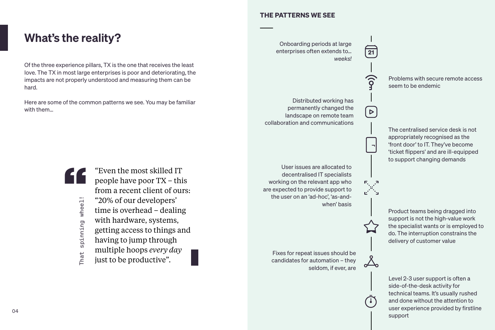What's the reality?

#### **THE PATTERNS WE SEE**

Of the three experience pillars, TX is the one that receives the least love. The TX in most large enterprises is poor and deteriorating, the impacts are not properly understood and measuring them can be hard.

Here are some of the common patterns we see. You may be familiar with them…

Onboarding periods at large enterprises often extends to… *weeks!*

> Problems with secure remote access seem to be endemic

Distributed working has permanently changed the landscape on remote team collaboration and communications

"Even the most skilled IT people have poor TX – this from a recent client of ours: "20% of our developers' time is overhead – dealing with hardware, systems, getting access to things and having to jump through multiple hoops *every day* just to be productive".

The centralised service desk is not appropriately recognised as the 'front door' to IT. They've become 'ticket flippers' and are ill-equipped to support changing demands

Product teams being dragged into support is not the high-value work the specialist wants or is employed to do. The interruption constrains the delivery of customer value

Fixes for repeat issues should be candidates for automation – they seldom, if ever, are

User issues are allocated to decentralised IT specialists working on the relevant app who are expected to provide support to the user on an 'ad-hoc', 'as-andwhen' basis **21**

 $\triangleright$ 

That spinning wheel!

That

spinning wheel!

Level 2-3 user support is often a side-of-the-desk activity for technical teams. It's usually rushed and done without the attention to user experience provided by firstline support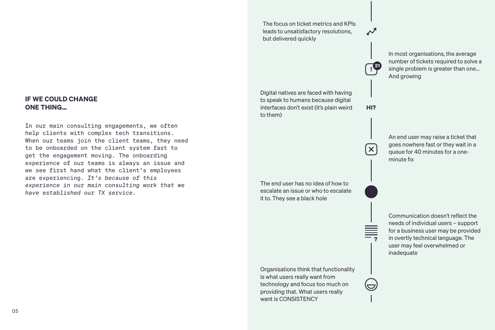In most organisations, the average number of tickets required to solve a single problem is greater than one... And growing

**<sup>21</sup> !**

Digital natives are faced with having to speak to humans because digital interfaces don't exist (it's plain weird to them)

**HI?**

 $\boldsymbol{\mathsf{X}}$ 

Organisations think that functionality is what users really want from technology and focus too much on providing that. What users really want is CONSISTENCY

An end user may raise a ticket that goes nowhere fast or they wait in a queue for 40 minutes for a oneminute fix

The end user has no idea of how to escalate an issue or who to escalate it to. They see a black hole

> Communication doesn't reflect the needs of individual users – support for a business user may be provided in overtly technical language. The user may feel overwhelmed or inadequate

The focus on ticket metrics and KPIs leads to unsatisfactory resolutions, but delivered quickly

#### **IF WE COULD CHANGE ONE THING…**

In our main consulting engagements, we often help clients with complex tech transitions. When our teams join the client teams, they need to be onboarded on the client system fast to get the engagement moving. The onboarding experience of our teams is always an issue and we see first hand what the client's employees are experiencing. *It's because of this experience in our main consulting work that we have established our TX service.*

**?**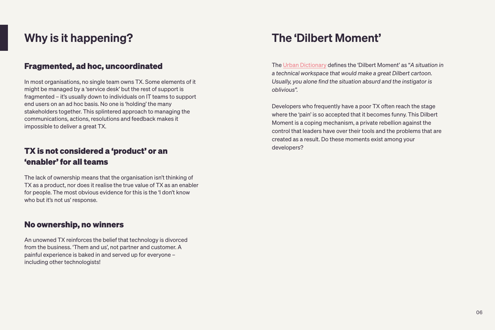# Why is it happening?

#### **Fragmented, ad hoc, uncoordinated**

In most organisations, no single team owns TX. Some elements of it might be managed by a 'service desk' but the rest of support is fragmented – it's usually down to individuals on IT teams to support end users on an ad hoc basis. No one is 'holding' the many stakeholders together. This splintered approach to managing the communications, actions, resolutions and feedback makes it impossible to deliver a great TX.

### **TX is not considered a 'product' or an 'enabler' for all teams**

The lack of ownership means that the organisation isn't thinking of TX as a product, nor does it realise the true value of TX as an enabler for people. The most obvious evidence for this is the 'I don't know who but it's not us' response.

#### **No ownership, no winners**

An unowned TX reinforces the belief that technology is divorced from the business. 'Them and us', not partner and customer. A painful experience is baked in and served up for everyone – including other technologists!

## The 'Dilbert Moment'

The [Urban Dictionary](https://www.urbandictionary.com/define.php?term=Dilbert%20Moment) defines the 'Dilbert Moment' as "*A situation in a technical workspace that would make a great Dilbert cartoon. Usually, you alone find the situation absurd and the instigator is oblivious".*

Developers who frequently have a poor TX often reach the stage where the 'pain' is so accepted that it becomes funny. This Dilbert Moment is a coping mechanism, a private rebellion against the control that leaders have over their tools and the problems that are created as a result. Do these moments exist among your developers?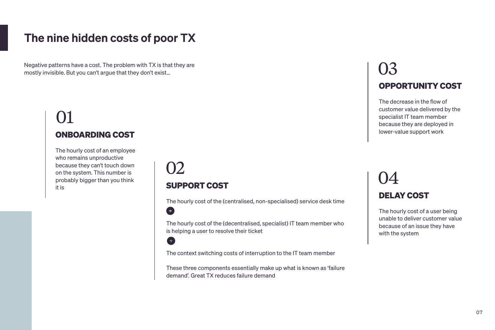# The nine hidden costs of poor TX

# 02 **SUPPORT COST**

6

 $\bigoplus$ 

The hourly cost of the (centralised, non-specialised) service desk time

The hourly cost of the (decentralised, specialist) IT team member who is helping a user to resolve their ticket

The context switching costs of interruption to the IT team member

These three components essentially make up what is known as 'failure demand'. Great TX reduces failure demand

# 01 **ONBOARDING COST**

The hourly cost of an employee who remains unproductive because they can't touch down on the system. This number is probably bigger than you think it is

# 03 **OPPORTUNITY COST**

The decrease in the flow of customer value delivered by the specialist IT team member because they are deployed in lower-value support work

Negative patterns have a cost. The problem with TX is that they are mostly invisible. But you can't argue that they don't exist…

# 04 **DELAY COST**

The hourly cost of a user being unable to deliver customer value because of an issue they have with the system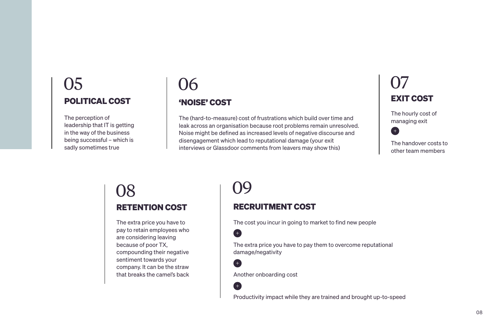# **RECRUITMENT COST**

The cost you incur in going to market to find new people

 $\bullet$ 

6

Œ

The extra price you have to pay them to overcome reputational damage/negativity

# 08 09 **RETENTION COST**

Another onboarding cost

Productivity impact while they are trained and brought up-to-speed

# $\overline{\Omega}$ **EXIT COST**

The extra price you have to pay to retain employees who are considering leaving because of poor TX, compounding their negative sentiment towards your company. It can be the straw that breaks the camel's back The hourly cost of managing exit



The handover costs to other team members

# **'NOISE' COST**

# 05 06 **POLITICAL COST**

The (hard-to-measure) cost of frustrations which build over time and leak across an organisation because root problems remain unresolved. Noise might be defined as increased levels of negative discourse and disengagement which lead to reputational damage (your exit interviews or Glassdoor comments from leavers may show this)

The perception of leadership that IT is getting in the way of the business being successful – which is sadly sometimes true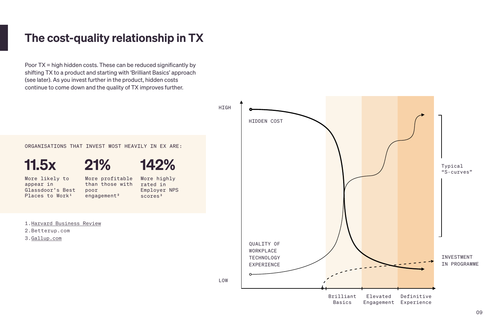## The cost-quality relationship in TX

Poor TX = high hidden costs. These can be reduced significantly by shifting TX to a product and starting with 'Brilliant Basics' approach (see later). As you invest further in the product, hidden costs continue to come down and the quality of TX improves further.

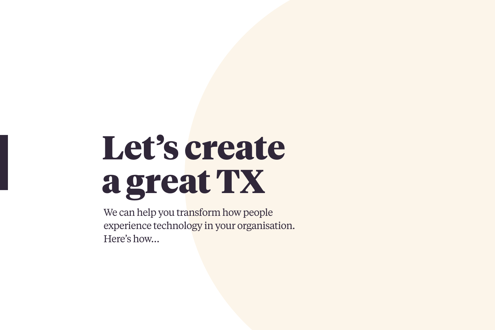# **Let's create a great TX**

We can help you transform how people experience technology in your organisation. Here's how…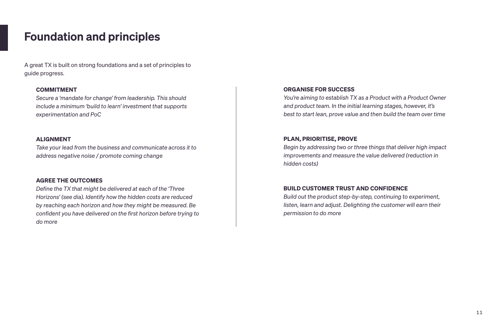## Foundation and principles

A great TX is built on strong foundations and a set of principles to guide progress.

#### **COMMITMENT**

*Secure a 'mandate for change' from leadership. This should include a minimum 'build to learn' investment that supports experimentation and PoC*

#### **ALIGNMENT**

*Take your lead from the business and communicate across it to address negative noise / promote coming change*

#### **AGREE THE OUTCOMES**

*Define the TX that might be delivered at each of the 'Three Horizons' (see dia). Identify how the hidden costs are reduced by reaching each horizon and how they might be measured. Be confident you have delivered on the first horizon before trying to do more*

#### **ORGANISE FOR SUCCESS**

*You're aiming to establish TX as a Product with a Product Owner and product team. In the initial learning stages, however, it's best to start lean, prove value and then build the team over time*

#### **PLAN, PRIORITISE, PROVE**

*Begin by addressing two or three things that deliver high impact improvements and measure the value delivered (reduction in hidden costs)*

#### **BUILD CUSTOMER TRUST AND CONFIDENCE**

*Build out the product step-by-step, continuing to experiment, listen, learn and adjust. Delighting the customer will earn their permission to do more*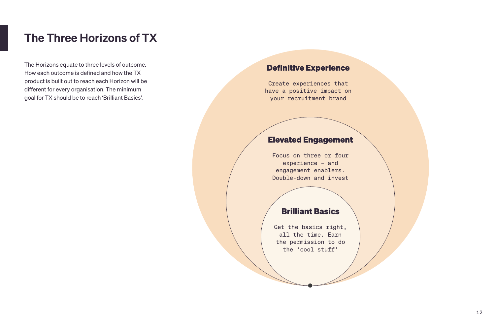## The Three Horizons of TX

The Horizons equate to three levels of outcome. How each outcome is defined and how the TX product is built out to reach each Horizon will be different for every organisation. The minimum goal for TX should be to reach 'Brilliant Basics'.

#### **Definitive Experience**

Create experiences that have a positive impact on your recruitment brand

#### **Elevated Engagement**

Focus on three or four experience – and engagement enablers. Double-down and invest

#### **Brilliant Basics**

Get the basics right, all the time. Earn the permission to do the 'cool stuff'

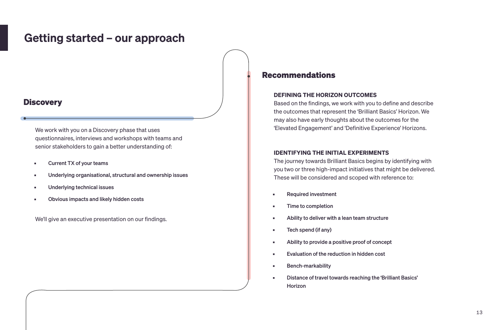## Getting started – our approach

#### **Discovery**

- Current TX of your teams
- Underlying organisational, structural and ownership issues
- **■** Underlying technical issues
- Obvious impacts and likely hidden costs

We work with you on a Discovery phase that uses questionnaires, interviews and workshops with teams and senior stakeholders to gain a better understanding of:

We'll give an executive presentation on our findings.

#### **Recommendations**

#### **DEFINING THE HORIZON OUTCOMES**

Based on the findings, we work with you to define and describe the outcomes that represent the 'Brilliant Basics' Horizon. We may also have early thoughts about the outcomes for the 'Elevated Engagement' and 'Definitive Experience' Horizons.

#### **IDENTIFYING THE INITIAL EXPERIMENTS**

The journey towards Brilliant Basics begins by identifying with you two or three high-impact initiatives that might be delivered. These will be considered and scoped with reference to:

- Required investment
- Time to completion
- Ability to deliver with a lean team structure
- Tech spend (if any)
- Ability to provide a positive proof of concept
- Evaluation of the reduction in hidden cost
- **■** Bench-markability
- Distance of travel towards reaching the 'Brilliant Basics' Horizon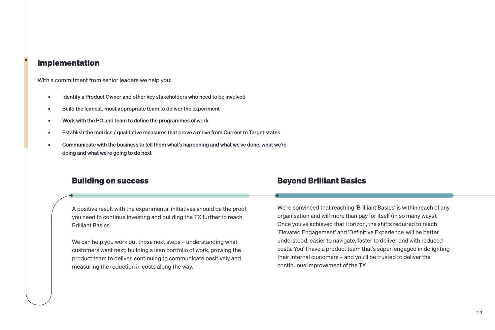#### **Implementation**

With a commitment from senior leaders we help you:

- **EXECT:** Identify a Product Owner and other key stakeholders who need to be involved
- Build the leanest, most appropriate team to deliver the experiment
- Work with the PO and team to define the programmes of work
- **Establish the metrics / qualitative measures that prove a move from Current to Target states**
- **EXECOMMUNICATE With the business to tell them what's happening and what we've done, what we're** doing and what we're going to do next

#### **Building on success**

A positive result with the experimental initiatives should be the proof you need to continue investing and building the TX further to reach Brilliant Basics.

We can help you work out those next steps – understanding what customers want next, building a lean portfolio of work, growing the product team to deliver, continuing to communicate positively and measuring the reduction in costs along the way.

#### **Beyond Brilliant Basics**

We're convinced that reaching 'Brilliant Basics' is within reach of any organisation and will more than pay for itself (in so many ways). Once you've achieved that Horizon, the shifts required to reach 'Elevated Engagement' and 'Definitive Experience' will be better understood, easier to navigate, faster to deliver and with reduced costs. You'll have a product team that's super-engaged in delighting their internal customers – and you'll be trusted to deliver the continuous improvement of the TX.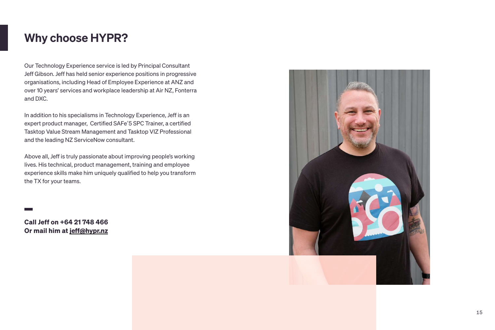# Why choose HYPR?

Our Technology Experience service is led by Principal Consultant Jeff Gibson. Jeff has held senior experience positions in progressive organisations, including Head of Employee Experience at ANZ and over 10 years' services and workplace leadership at Air NZ, Fonterra and DXC.

In addition to his specialisms in Technology Experience, Jeff is an expert product manager, Certified SAFe®5 SPC Trainer, a certified Tasktop Value Stream Management and Tasktop VIZ Professional and the leading NZ ServiceNow consultant.

Above all, Jeff is truly passionate about improving people's working lives. His technical, product management, training and employee experience skills make him uniquely qualified to help you transform the TX for your teams.

**Call Jeff on +64 21 748 466 Or mail him at [jeff@hypr.nz](mailto:jeff@hypr.nz)**